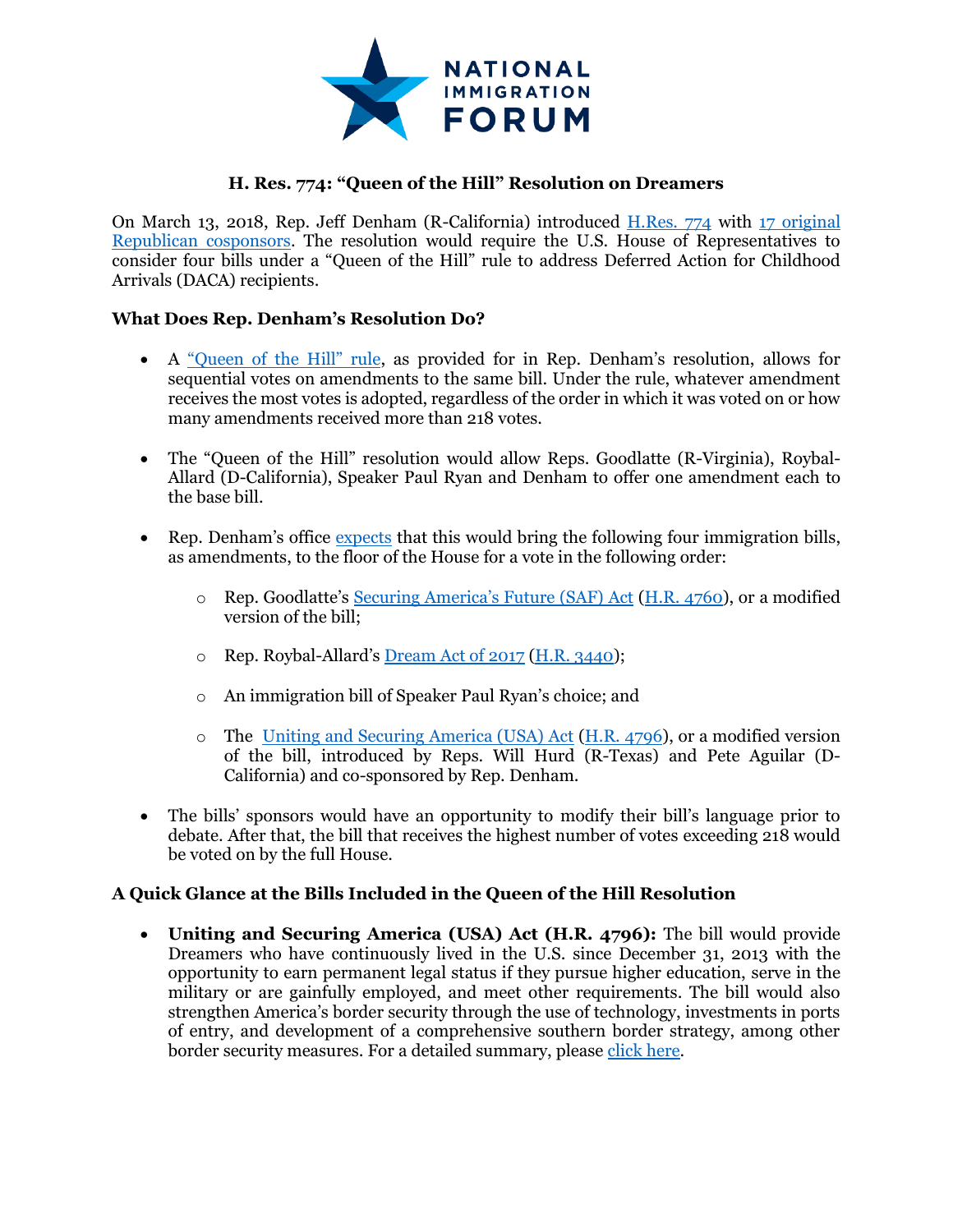

## **H. Res. 774: "Queen of the Hill" Resolution on Dreamers**

On March 13, 2018, Rep. Jeff Denham (R-California) introduced [H.Res. 774](https://www.congress.gov/bill/115th-congress/house-resolution/774) with [17 original](https://www.congress.gov/bill/115th-congress/house-resolution/774/cosponsors)  [Republican cosponsors.](https://www.congress.gov/bill/115th-congress/house-resolution/774/cosponsors) The resolution would require the U.S. House of Representatives to consider four bills under a "Queen of the Hill" rule to address Deferred Action for Childhood Arrivals (DACA) recipients.

## **What Does Rep. Denham's Resolution Do?**

- A ["Queen of the Hill" rule](https://www.everycrsreport.com/files/20150924_RS20313_700b7e8475e55bd6b1fcb3298094a639eb4864d1.pdf), as provided for in Rep. Denham's resolution, allows for sequential votes on amendments to the same bill. Under the rule, whatever amendment receives the most votes is adopted, regardless of the order in which it was voted on or how many amendments received more than 218 votes.
- The "Queen of the Hill" resolution would allow Reps. Goodlatte (R-Virginia), Roybal-Allard (D-California), Speaker Paul Ryan and Denham to offer one amendment each to the base bill.
- Rep. Denham's office [expects](https://denham.house.gov/news/documentsingle.aspx?DocumentID=2353) that this would bring the following four immigration bills, as amendments, to the floor of the House for a vote in the following order:
	- o Rep. Goodlatte's [Securing America's Future](https://immigrationforum.org/blog/bill-analysis-securing-americas-future-act/) (SAF) Act [\(H.R. 4760\)](https://www.congress.gov/bill/115th-congress/house-bill/4760/text), or a modified version of the bill;
	- o Rep. Roybal-Allard's [Dream Act of 2017](https://immigrationforum.org/blog/dream-act-of-2017-bill-summary/) [\(H.R. 3440\)](https://www.congress.gov/bill/115th-congress/house-bill/3440?q=%7B%22search%22%3A%5B%22roybal-allard%22%5D%7D);
	- o An immigration bill of Speaker Paul Ryan's choice; and
	- o The [Uniting and Securing America \(USA\) Act](https://immigrationforum.org/blog/usa-act-bill-summary-a-bipartisan-solution-for-dreamers/) [\(H.R. 4796\)](https://www.congress.gov/bill/115th-congress/house-bill/4796), or a modified version of the bill, introduced by Reps. Will Hurd (R-Texas) and Pete Aguilar (D-California) and co-sponsored by Rep. Denham.
- The bills' sponsors would have an opportunity to modify their bill's language prior to debate. After that, the bill that receives the highest number of votes exceeding 218 would be voted on by the full House.

## **A Quick Glance at the Bills Included in the Queen of the Hill Resolution**

 **Uniting and Securing America (USA) Act (H.R. 4796):** The bill would provide Dreamers who have continuously lived in the U.S. since December 31, 2013 with the opportunity to earn permanent legal status if they pursue higher education, serve in the military or are gainfully employed, and meet other requirements. The bill would also strengthen America's border security through the use of technology, investments in ports of entry, and development of a comprehensive southern border strategy, among other border security measures. For a detailed summary, please [click here.](https://immigrationforum.org/blog/usa-act-bill-summary-a-bipartisan-solution-for-dreamers/)